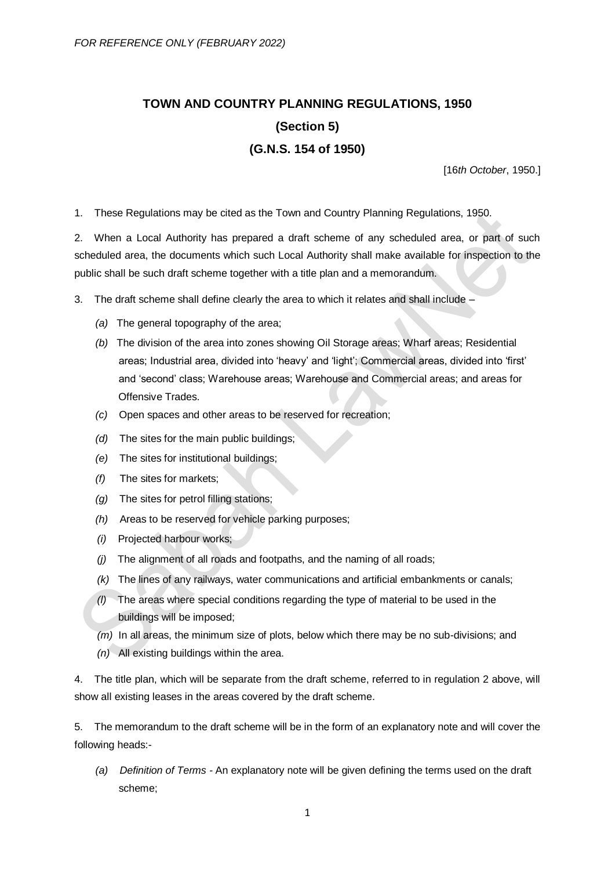## **TOWN AND COUNTRY PLANNING REGULATIONS, 1950 (Section 5) (G.N.S. 154 of 1950)**

[16*th October*, 1950.]

1. These Regulations may be cited as the Town and Country Planning Regulations, 1950.

2. When a Local Authority has prepared a draft scheme of any scheduled area, or part of such scheduled area, the documents which such Local Authority shall make available for inspection to the public shall be such draft scheme together with a title plan and a memorandum.

- 3. The draft scheme shall define clearly the area to which it relates and shall include
	- *(a)* The general topography of the area;
	- *(b)* The division of the area into zones showing Oil Storage areas; Wharf areas; Residential areas; Industrial area, divided into 'heavy' and 'light'; Commercial areas, divided into 'first' and 'second' class; Warehouse areas; Warehouse and Commercial areas; and areas for Offensive Trades.
	- *(c)* Open spaces and other areas to be reserved for recreation;
	- *(d)* The sites for the main public buildings;
	- *(e)* The sites for institutional buildings;
	- *(f)* The sites for markets;
	- *(g)* The sites for petrol filling stations;
	- *(h)* Areas to be reserved for vehicle parking purposes;
	- *(i)* Projected harbour works;
	- *(j)* The alignment of all roads and footpaths, and the naming of all roads;
	- *(k)* The lines of any railways, water communications and artificial embankments or canals;
	- *(l)* The areas where special conditions regarding the type of material to be used in the buildings will be imposed;
	- *(m)* In all areas, the minimum size of plots, below which there may be no sub-divisions; and
	- *(n)* All existing buildings within the area.

4. The title plan, which will be separate from the draft scheme, referred to in regulation 2 above, will show all existing leases in the areas covered by the draft scheme.

5. The memorandum to the draft scheme will be in the form of an explanatory note and will cover the following heads:-

*(a) Definition of Terms -* An explanatory note will be given defining the terms used on the draft scheme;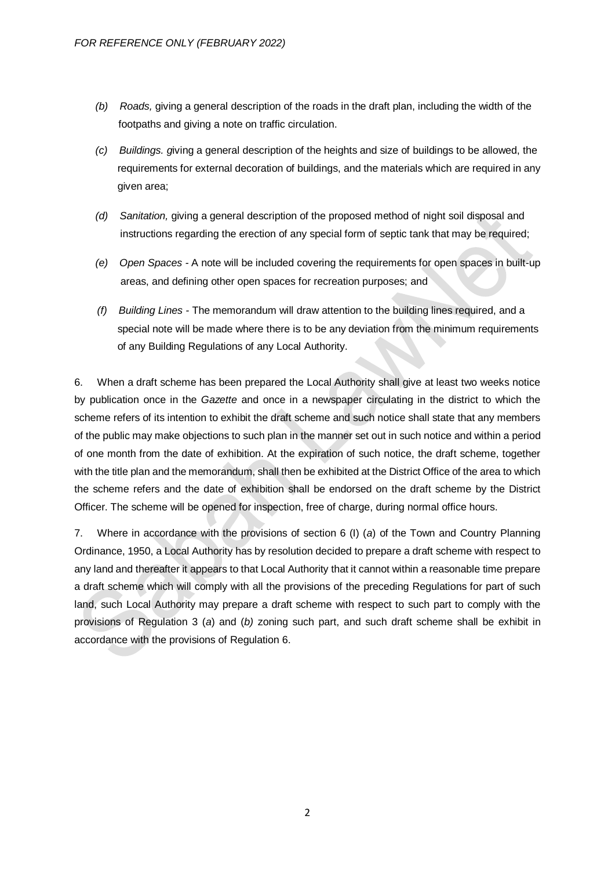- *(b) Roads,* giving a general description of the roads in the draft plan, including the width of the footpaths and giving a note on traffic circulation.
- *(c) Buildings. g*iving a general description of the heights and size of buildings to be allowed, the requirements for external decoration of buildings, and the materials which are required in any given area;
- *(d) Sanitation,* giving a general description of the proposed method of night soil disposal and instructions regarding the erection of any special form of septic tank that may be required;
- *(e) Open Spaces -* A note will be included covering the requirements for open spaces in built-up areas, and defining other open spaces for recreation purposes; and
- *(f) Building Lines -* The memorandum will draw attention to the building lines required, and a special note will be made where there is to be any deviation from the minimum requirements of any Building Regulations of any Local Authority.

6. When a draft scheme has been prepared the Local Authority shall give at least two weeks notice by publication once in the *Gazette* and once in a newspaper circulating in the district to which the scheme refers of its intention to exhibit the draft scheme and such notice shall state that any members of the public may make objections to such plan in the manner set out in such notice and within a period of one month from the date of exhibition. At the expiration of such notice, the draft scheme, together with the title plan and the memorandum, shall then be exhibited at the District Office of the area to which the scheme refers and the date of exhibition shall be endorsed on the draft scheme by the District Officer. The scheme will be opened for inspection, free of charge, during normal office hours.

7. Where in accordance with the provisions of section 6 (I) (*a*) of the Town and Country Planning Ordinance, 1950, a Local Authority has by resolution decided to prepare a draft scheme with respect to any land and thereafter it appears to that Local Authority that it cannot within a reasonable time prepare a draft scheme which will comply with all the provisions of the preceding Regulations for part of such land, such Local Authority may prepare a draft scheme with respect to such part to comply with the provisions of Regulation 3 (*a*) and (*b)* zoning such part, and such draft scheme shall be exhibit in accordance with the provisions of Regulation 6.